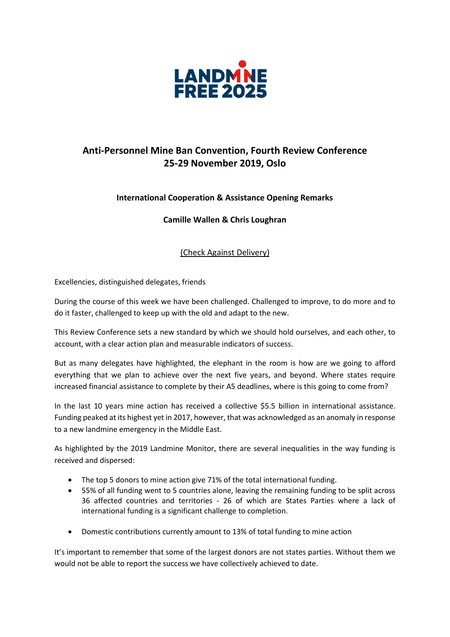

## **Anti-Personnel Mine Ban Convention, Fourth Review Conference 25-29 November 2019, Oslo**

## **International Cooperation & Assistance Opening Remarks**

**Camille Wallen & Chris Loughran** 

(Check Against Delivery)

Excellencies, distinguished delegates, friends

During the course of this week we have been challenged. Challenged to improve, to do more and to do it faster, challenged to keep up with the old and adapt to the new.

This Review Conference sets a new standard by which we should hold ourselves, and each other, to account, with a clear action plan and measurable indicators of success.

But as many delegates have highlighted, the elephant in the room is how are we going to afford everything that we plan to achieve over the next five years, and beyond. Where states require increased financial assistance to complete by their A5 deadlines, where is this going to come from?

In the last 10 years mine action has received a collective \$5.5 billion in international assistance. Funding peaked at its highest yet in 2017, however, that was acknowledged as an anomaly in response to a new landmine emergency in the Middle East.

As highlighted by the 2019 Landmine Monitor, there are several inequalities in the way funding is received and dispersed:

- The top 5 donors to mine action give 71% of the total international funding.
- 55% of all funding went to 5 countries alone, leaving the remaining funding to be split across 36 affected countries and territories - 26 of which are States Parties where a lack of international funding is a significant challenge to completion.
- Domestic contributions currently amount to 13% of total funding to mine action

It's important to remember that some of the largest donors are not states parties. Without them we would not be able to report the success we have collectively achieved to date.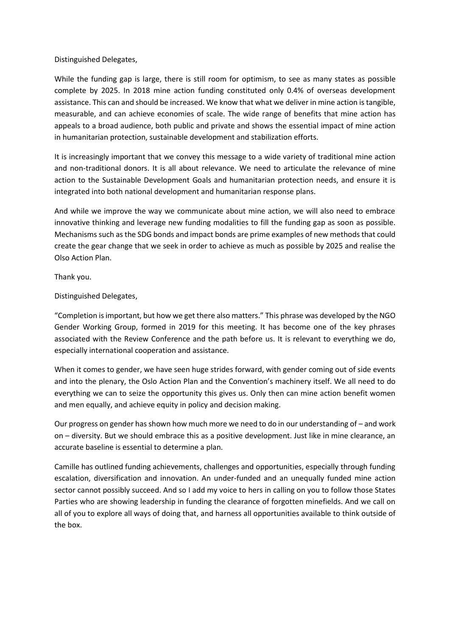Distinguished Delegates,

While the funding gap is large, there is still room for optimism, to see as many states as possible complete by 2025. In 2018 mine action funding constituted only 0.4% of overseas development assistance. This can and should be increased. We know that what we deliver in mine action is tangible, measurable, and can achieve economies of scale. The wide range of benefits that mine action has appeals to a broad audience, both public and private and shows the essential impact of mine action in humanitarian protection, sustainable development and stabilization efforts.

It is increasingly important that we convey this message to a wide variety of traditional mine action and non-traditional donors. It is all about relevance. We need to articulate the relevance of mine action to the Sustainable Development Goals and humanitarian protection needs, and ensure it is integrated into both national development and humanitarian response plans.

And while we improve the way we communicate about mine action, we will also need to embrace innovative thinking and leverage new funding modalities to fill the funding gap as soon as possible. Mechanisms such as the SDG bonds and impact bonds are prime examples of new methods that could create the gear change that we seek in order to achieve as much as possible by 2025 and realise the Olso Action Plan.

Thank you.

Distinguished Delegates,

"Completion is important, but how we get there also matters." This phrase was developed by the NGO Gender Working Group, formed in 2019 for this meeting. It has become one of the key phrases associated with the Review Conference and the path before us. It is relevant to everything we do, especially international cooperation and assistance.

When it comes to gender, we have seen huge strides forward, with gender coming out of side events and into the plenary, the Oslo Action Plan and the Convention's machinery itself. We all need to do everything we can to seize the opportunity this gives us. Only then can mine action benefit women and men equally, and achieve equity in policy and decision making.

Our progress on gender has shown how much more we need to do in our understanding of – and work on – diversity. But we should embrace this as a positive development. Just like in mine clearance, an accurate baseline is essential to determine a plan.

Camille has outlined funding achievements, challenges and opportunities, especially through funding escalation, diversification and innovation. An under-funded and an unequally funded mine action sector cannot possibly succeed. And so I add my voice to hers in calling on you to follow those States Parties who are showing leadership in funding the clearance of forgotten minefields. And we call on all of you to explore all ways of doing that, and harness all opportunities available to think outside of the box.